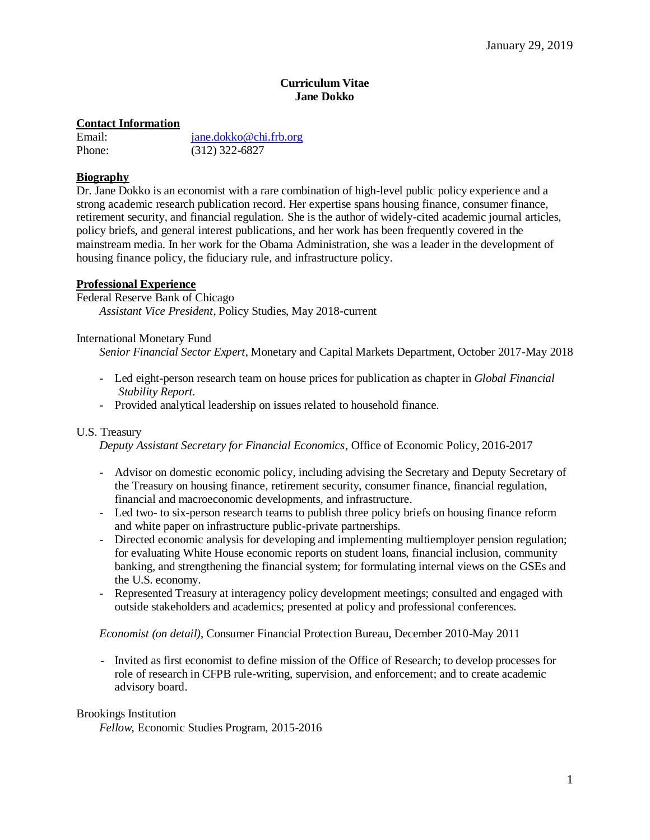### **Curriculum Vitae Jane Dokko**

## **Contact Information**

| Email: |  |
|--------|--|
| Phone: |  |

jane.dokko@chi.frb.org  $(312)$  322-6827

# **Biography**

Dr. Jane Dokko is an economist with a rare combination of high-level public policy experience and a strong academic research publication record. Her expertise spans housing finance, consumer finance, retirement security, and financial regulation. She is the author of widely-cited academic journal articles, policy briefs, and general interest publications, and her work has been frequently covered in the mainstream media. In her work for the Obama Administration, she was a leader in the development of housing finance policy, the fiduciary rule, and infrastructure policy.

## **Professional Experience**

Federal Reserve Bank of Chicago *Assistant Vice President*, Policy Studies, May 2018-current

International Monetary Fund

*Senior Financial Sector Expert*, Monetary and Capital Markets Department, October 2017-May 2018

- Led eight-person research team on house prices for publication as chapter in *Global Financial Stability Report*.
- Provided analytical leadership on issues related to household finance.

## U.S. Treasury

*Deputy Assistant Secretary for Financial Economics*, Office of Economic Policy, 2016-2017

- Advisor on domestic economic policy, including advising the Secretary and Deputy Secretary of the Treasury on housing finance, retirement security, consumer finance, financial regulation, financial and macroeconomic developments, and infrastructure.
- Led two- to six-person research teams to publish three policy briefs on housing finance reform and white paper on infrastructure public-private partnerships.
- Directed economic analysis for developing and implementing multiemployer pension regulation; for evaluating White House economic reports on student loans, financial inclusion, community banking, and strengthening the financial system; for formulating internal views on the GSEs and the U.S. economy.
- Represented Treasury at interagency policy development meetings; consulted and engaged with outside stakeholders and academics; presented at policy and professional conferences.

## *Economist (on detail)*, Consumer Financial Protection Bureau, December 2010-May 2011

- Invited as first economist to define mission of the Office of Research; to develop processes for role of research in CFPB rule-writing, supervision, and enforcement; and to create academic advisory board.

## Brookings Institution

*Fellow*, Economic Studies Program, 2015-2016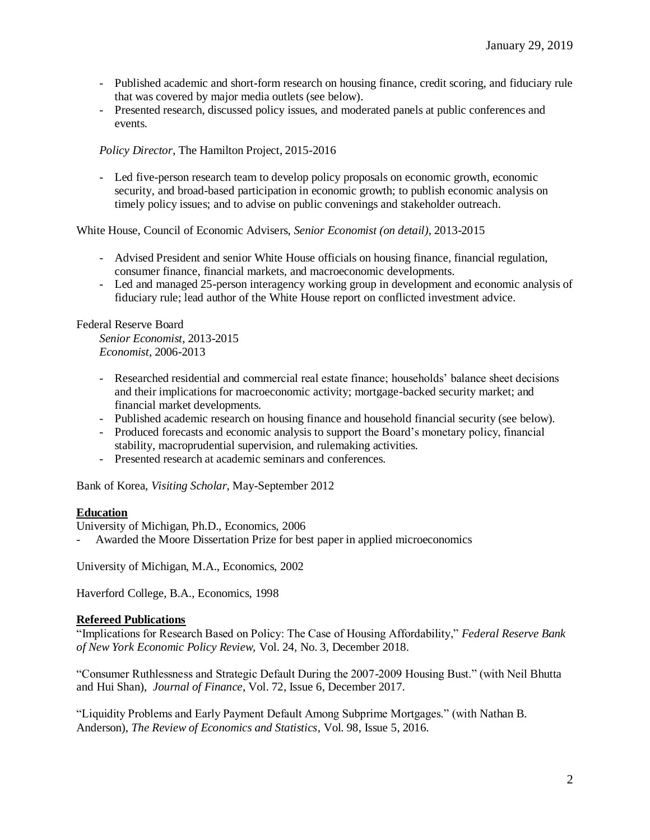- Published academic and short-form research on housing finance, credit scoring, and fiduciary rule that was covered by major media outlets (see below).
- Presented research, discussed policy issues, and moderated panels at public conferences and events.

*Policy Director*, The Hamilton Project, 2015-2016

- Led five-person research team to develop policy proposals on economic growth, economic security, and broad-based participation in economic growth; to publish economic analysis on timely policy issues; and to advise on public convenings and stakeholder outreach.

White House, Council of Economic Advisers, *Senior Economist (on detail)*, 2013-2015

- Advised President and senior White House officials on housing finance, financial regulation, consumer finance, financial markets, and macroeconomic developments.
- Led and managed 25-person interagency working group in development and economic analysis of fiduciary rule; lead author of the White House report on conflicted investment advice.

## Federal Reserve Board

*Senior Economist*, 2013-2015 *Economist*, 2006-2013

- Researched residential and commercial real estate finance; households' balance sheet decisions and their implications for macroeconomic activity; mortgage-backed security market; and financial market developments.
- Published academic research on housing finance and household financial security (see below).
- Produced forecasts and economic analysis to support the Board's monetary policy, financial stability, macroprudential supervision, and rulemaking activities.
- Presented research at academic seminars and conferences.

Bank of Korea, *Visiting Scholar*, May-September 2012

## **Education**

University of Michigan, Ph.D., Economics, 2006

- Awarded the Moore Dissertation Prize for best paper in applied microeconomics

University of Michigan, M.A., Economics, 2002

Haverford College, B.A., Economics, 1998

## **Refereed Publications**

"Implications for Research Based on Policy: The Case of Housing Affordability," *Federal Reserve Bank of New York Economic Policy Review,* Vol. 24, No. 3, December 2018.

"Consumer Ruthlessness and Strategic Default During the 2007-2009 Housing Bust." (with Neil Bhutta and Hui Shan), *Journal of Finance*, Vol. 72, Issue 6, December 2017.

"Liquidity Problems and Early Payment Default Among Subprime Mortgages." (with Nathan B. Anderson), *The Review of Economics and Statistics*, Vol. 98, Issue 5, 2016.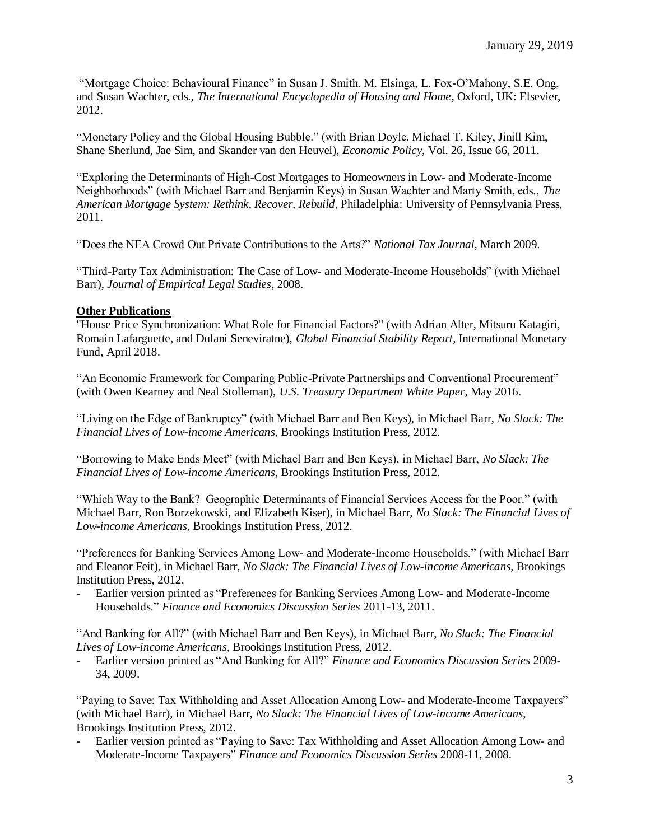"Mortgage Choice: Behavioural Finance" in Susan J. Smith, M. Elsinga, L. Fox-O'Mahony, S.E. Ong, and Susan Wachter, eds., *The International Encyclopedia of Housing and Home*, Oxford, UK: Elsevier, 2012.

"Monetary Policy and the Global Housing Bubble." (with Brian Doyle, Michael T. Kiley, Jinill Kim, Shane Sherlund, Jae Sim, and Skander van den Heuvel), *Economic Policy*, Vol. 26, Issue 66, 2011.

"Exploring the Determinants of High-Cost Mortgages to Homeowners in Low- and Moderate-Income Neighborhoods" (with Michael Barr and Benjamin Keys) in Susan Wachter and Marty Smith, eds., *The American Mortgage System: Rethink, Recover, Rebuild*, Philadelphia: University of Pennsylvania Press, 2011.

"Does the NEA Crowd Out Private Contributions to the Arts?" *National Tax Journal*, March 2009.

"Third-Party Tax Administration: The Case of Low- and Moderate-Income Households" (with Michael Barr), *Journal of Empirical Legal Studies*, 2008.

# **Other Publications**

"House Price Synchronization: What Role for Financial Factors?" (with Adrian Alter, Mitsuru Katagiri, Romain Lafarguette, and Dulani Seneviratne), *Global Financial Stability Report*, International Monetary Fund, April 2018.

"An Economic Framework for Comparing Public-Private Partnerships and Conventional Procurement" (with Owen Kearney and Neal Stolleman), *U.S. Treasury Department White Paper*, May 2016.

"Living on the Edge of Bankruptcy" (with Michael Barr and Ben Keys), in Michael Barr, *No Slack: The Financial Lives of Low-income Americans*, Brookings Institution Press, 2012.

"Borrowing to Make Ends Meet" (with Michael Barr and Ben Keys), in Michael Barr, *No Slack: The Financial Lives of Low-income Americans*, Brookings Institution Press, 2012.

"Which Way to the Bank? Geographic Determinants of Financial Services Access for the Poor." (with Michael Barr, Ron Borzekowski, and Elizabeth Kiser), in Michael Barr, *No Slack: The Financial Lives of Low-income Americans*, Brookings Institution Press, 2012.

"Preferences for Banking Services Among Low- and Moderate-Income Households." (with Michael Barr and Eleanor Feit), in Michael Barr, *No Slack: The Financial Lives of Low-income Americans*, Brookings Institution Press, 2012.

Earlier version printed as "Preferences for Banking Services Among Low- and Moderate-Income Households." *Finance and Economics Discussion Series* 2011-13, 2011.

"And Banking for All?" (with Michael Barr and Ben Keys), in Michael Barr, *No Slack: The Financial Lives of Low-income Americans*, Brookings Institution Press, 2012.

- Earlier version printed as "And Banking for All?" *Finance and Economics Discussion Series* 2009- 34, 2009.

"Paying to Save: Tax Withholding and Asset Allocation Among Low- and Moderate-Income Taxpayers" (with Michael Barr), in Michael Barr, *No Slack: The Financial Lives of Low-income Americans*, Brookings Institution Press, 2012.

- Earlier version printed as "Paying to Save: Tax Withholding and Asset Allocation Among Low- and Moderate-Income Taxpayers" *Finance and Economics Discussion Series* 2008-11, 2008.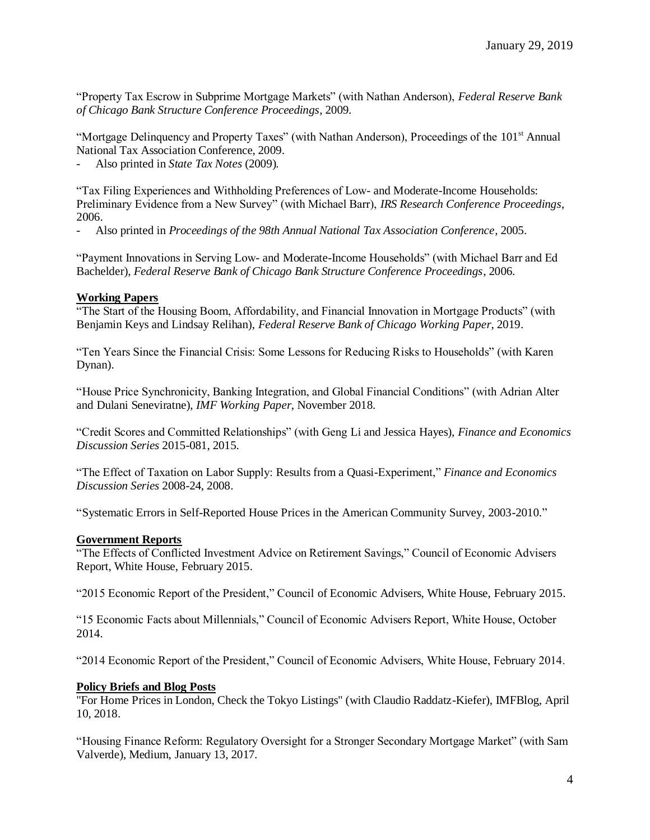"Property Tax Escrow in Subprime Mortgage Markets" (with Nathan Anderson), *Federal Reserve Bank of Chicago Bank Structure Conference Proceedings*, 2009.

"Mortgage Delinquency and Property Taxes" (with Nathan Anderson), Proceedings of the  $101<sup>st</sup>$  Annual National Tax Association Conference, 2009.

Also printed in *State Tax Notes* (2009).

"Tax Filing Experiences and Withholding Preferences of Low- and Moderate-Income Households: Preliminary Evidence from a New Survey" (with Michael Barr), *IRS Research Conference Proceedings*, 2006.

- Also printed in *Proceedings of the 98th Annual National Tax Association Conference*, 2005.

"Payment Innovations in Serving Low- and Moderate-Income Households" (with Michael Barr and Ed Bachelder), *Federal Reserve Bank of Chicago Bank Structure Conference Proceedings*, 2006.

### **Working Papers**

"The Start of the Housing Boom, Affordability, and Financial Innovation in Mortgage Products" (with Benjamin Keys and Lindsay Relihan), *Federal Reserve Bank of Chicago Working Paper*, 2019.

"Ten Years Since the Financial Crisis: Some Lessons for Reducing Risks to Households" (with Karen Dynan).

"House Price Synchronicity, Banking Integration, and Global Financial Conditions" (with Adrian Alter and Dulani Seneviratne), *IMF Working Paper*, November 2018.

"Credit Scores and Committed Relationships" (with Geng Li and Jessica Hayes), *Finance and Economics Discussion Series* 2015-081, 2015.

"The Effect of Taxation on Labor Supply: Results from a Quasi-Experiment," *Finance and Economics Discussion Series* 2008-24, 2008.

"Systematic Errors in Self-Reported House Prices in the American Community Survey, 2003-2010."

## **Government Reports**

"The Effects of Conflicted Investment Advice on Retirement Savings," Council of Economic Advisers Report, White House, February 2015.

"2015 Economic Report of the President," Council of Economic Advisers, White House, February 2015.

"15 Economic Facts about Millennials," Council of Economic Advisers Report, White House, October 2014.

"2014 Economic Report of the President," Council of Economic Advisers, White House, February 2014.

#### **Policy Briefs and Blog Posts**

"For Home Prices in London, Check the Tokyo Listings" (with Claudio Raddatz-Kiefer), IMFBlog, April 10, 2018.

"Housing Finance Reform: Regulatory Oversight for a Stronger Secondary Mortgage Market" (with Sam Valverde), Medium, January 13, 2017.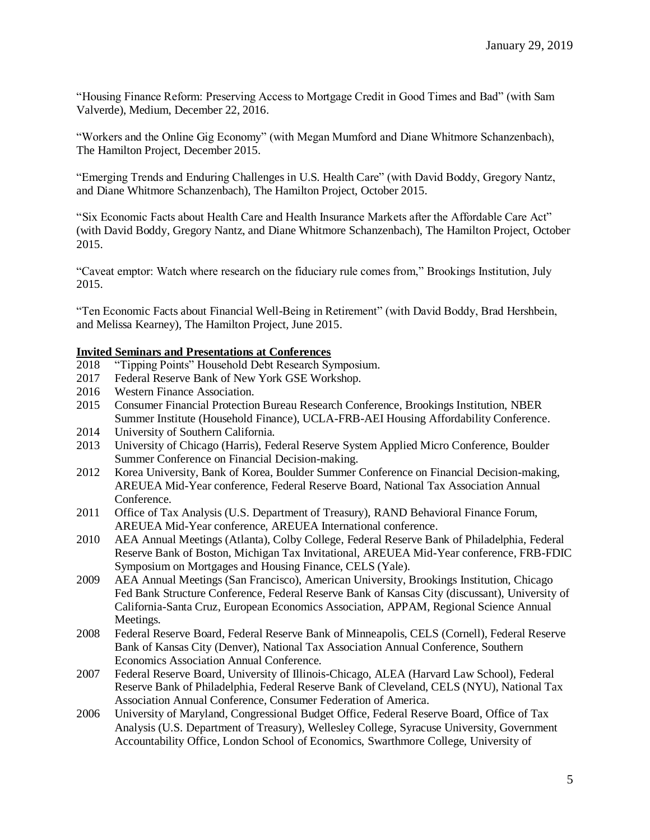"Housing Finance Reform: Preserving Access to Mortgage Credit in Good Times and Bad" (with Sam Valverde), Medium, December 22, 2016.

"Workers and the Online Gig Economy" (with Megan Mumford and Diane Whitmore Schanzenbach), The Hamilton Project, December 2015.

"Emerging Trends and Enduring Challenges in U.S. Health Care" (with David Boddy, Gregory Nantz, and Diane Whitmore Schanzenbach), The Hamilton Project, October 2015.

"Six Economic Facts about Health Care and Health Insurance Markets after the Affordable Care Act" (with David Boddy, Gregory Nantz, and Diane Whitmore Schanzenbach), The Hamilton Project, October 2015.

"Caveat emptor: Watch where research on the fiduciary rule comes from," Brookings Institution, July 2015.

"Ten Economic Facts about Financial Well-Being in Retirement" (with David Boddy, Brad Hershbein, and Melissa Kearney), The Hamilton Project, June 2015.

### **Invited Seminars and Presentations at Conferences**

- 2018 "Tipping Points" Household Debt Research Symposium.
- 2017 Federal Reserve Bank of New York GSE Workshop.
- 2016 Western Finance Association.
- 2015 Consumer Financial Protection Bureau Research Conference, Brookings Institution, NBER Summer Institute (Household Finance), UCLA-FRB-AEI Housing Affordability Conference.
- 2014 University of Southern California.
- 2013 University of Chicago (Harris), Federal Reserve System Applied Micro Conference, Boulder Summer Conference on Financial Decision-making.
- 2012 Korea University, Bank of Korea, Boulder Summer Conference on Financial Decision-making, AREUEA Mid-Year conference, Federal Reserve Board, National Tax Association Annual Conference.
- 2011 Office of Tax Analysis (U.S. Department of Treasury), RAND Behavioral Finance Forum, AREUEA Mid-Year conference, AREUEA International conference.
- 2010 AEA Annual Meetings (Atlanta), Colby College, Federal Reserve Bank of Philadelphia, Federal Reserve Bank of Boston, Michigan Tax Invitational, AREUEA Mid-Year conference, FRB-FDIC Symposium on Mortgages and Housing Finance, CELS (Yale).
- 2009 AEA Annual Meetings (San Francisco), American University, Brookings Institution, Chicago Fed Bank Structure Conference, Federal Reserve Bank of Kansas City (discussant), University of California-Santa Cruz, European Economics Association, APPAM, Regional Science Annual Meetings.
- 2008 Federal Reserve Board, Federal Reserve Bank of Minneapolis, CELS (Cornell), Federal Reserve Bank of Kansas City (Denver), National Tax Association Annual Conference, Southern Economics Association Annual Conference.
- 2007 Federal Reserve Board, University of Illinois-Chicago, ALEA (Harvard Law School), Federal Reserve Bank of Philadelphia, Federal Reserve Bank of Cleveland, CELS (NYU), National Tax Association Annual Conference, Consumer Federation of America.
- 2006 University of Maryland, Congressional Budget Office, Federal Reserve Board, Office of Tax Analysis (U.S. Department of Treasury), Wellesley College, Syracuse University, Government Accountability Office, London School of Economics, Swarthmore College, University of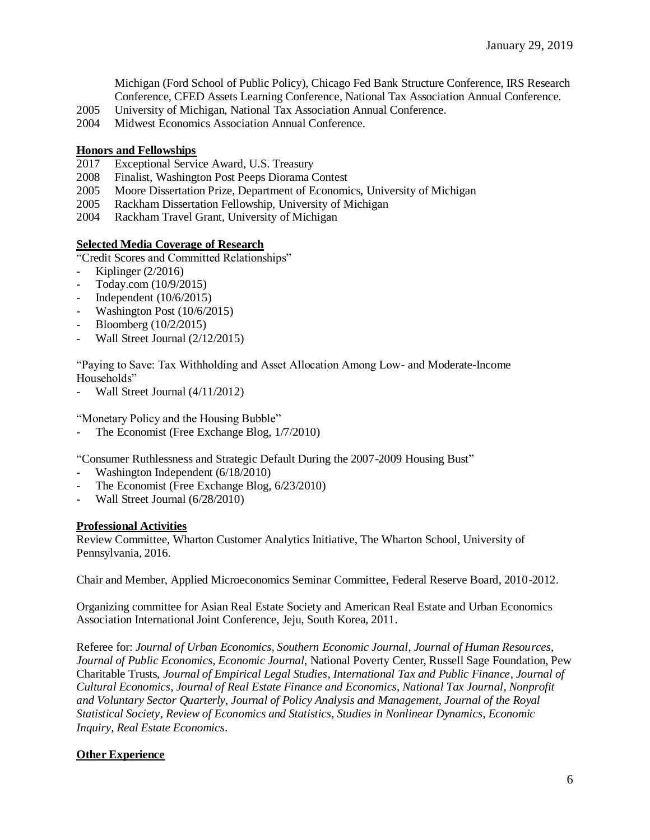Michigan (Ford School of Public Policy), Chicago Fed Bank Structure Conference, IRS Research Conference, CFED Assets Learning Conference, National Tax Association Annual Conference.

- 2005 University of Michigan, National Tax Association Annual Conference.
- 2004 Midwest Economics Association Annual Conference.

### **Honors and Fellowships**

- 2017 Exceptional Service Award, U.S. Treasury
- 2008 Finalist, Washington Post Peeps Diorama Contest
- 2005 Moore Dissertation Prize, Department of Economics, University of Michigan
- 2005 Rackham Dissertation Fellowship, University of Michigan
- 2004 Rackham Travel Grant, University of Michigan

### **Selected Media Coverage of Research**

"Credit Scores and Committed Relationships"

- Kiplinger (2/2016)
- Today.com (10/9/2015)
- Independent (10/6/2015)
- Washington Post (10/6/2015)
- Bloomberg (10/2/2015)
- Wall Street Journal (2/12/2015)

"Paying to Save: Tax Withholding and Asset Allocation Among Low- and Moderate-Income Households"

Wall Street Journal (4/11/2012)

"Monetary Policy and the Housing Bubble"

The Economist (Free Exchange Blog, 1/7/2010)

"Consumer Ruthlessness and Strategic Default During the 2007-2009 Housing Bust"

- Washington Independent (6/18/2010)
- The Economist (Free Exchange Blog, 6/23/2010)
- Wall Street Journal (6/28/2010)

#### **Professional Activities**

Review Committee, Wharton Customer Analytics Initiative, The Wharton School, University of Pennsylvania, 2016.

Chair and Member, Applied Microeconomics Seminar Committee, Federal Reserve Board, 2010-2012.

Organizing committee for Asian Real Estate Society and American Real Estate and Urban Economics Association International Joint Conference, Jeju, South Korea, 2011.

Referee for: *Journal of Urban Economics, Southern Economic Journal, Journal of Human Resources*, *Journal of Public Economics*, *Economic Journal*, National Poverty Center, Russell Sage Foundation, Pew Charitable Trusts, *Journal of Empirical Legal Studies*, *International Tax and Public Finance*, *Journal of Cultural Economics*, *Journal of Real Estate Finance and Economics*, *National Tax Journal*, *Nonprofit and Voluntary Sector Quarterly, Journal of Policy Analysis and Management, Journal of the Royal Statistical Society*, *Review of Economics and Statistics*, *Studies in Nonlinear Dynamics*, *Economic Inquiry, Real Estate Economics*.

## **Other Experience**